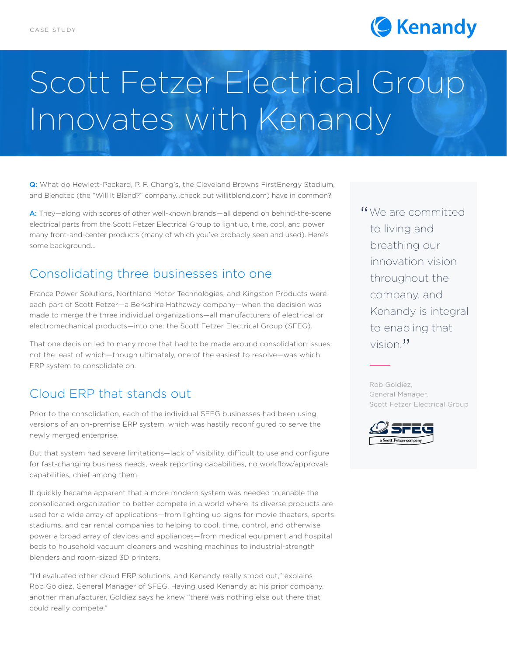

# Scott Fetzer Electrical Group Innovates with Kenandy

Q: What do Hewlett-Packard, P. F. Chang's, the Cleveland Browns FirstEnergy Stadium, and Blendtec (the "Will It Blend?" company…check out willitblend.com) have in common?

A: They—along with scores of other well-known brands—all depend on behind-the-scene electrical parts from the Scott Fetzer Electrical Group to light up, time, cool, and power many front-and-center products (many of which you've probably seen and used). Here's some background…

## Consolidating three businesses into one

France Power Solutions, Northland Motor Technologies, and Kingston Products were each part of Scott Fetzer—a Berkshire Hathaway company—when the decision was made to merge the three individual organizations—all manufacturers of electrical or electromechanical products—into one: the Scott Fetzer Electrical Group (SFEG).

That one decision led to many more that had to be made around consolidation issues, not the least of which—though ultimately, one of the easiest to resolve—was which ERP system to consolidate on.

## Cloud ERP that stands out

Prior to the consolidation, each of the individual SFEG businesses had been using versions of an on-premise ERP system, which was hastily reconfigured to serve the newly merged enterprise.

But that system had severe limitations—lack of visibility, difficult to use and configure for fast-changing business needs, weak reporting capabilities, no workflow/approvals capabilities, chief among them.

It quickly became apparent that a more modern system was needed to enable the consolidated organization to better compete in a world where its diverse products are used for a wide array of applications—from lighting up signs for movie theaters, sports stadiums, and car rental companies to helping to cool, time, control, and otherwise power a broad array of devices and appliances—from medical equipment and hospital beds to household vacuum cleaners and washing machines to industrial-strength blenders and room-sized 3D printers.

"I'd evaluated other cloud ERP solutions, and Kenandy really stood out," explains Rob Goldiez, General Manager of SFEG. Having used Kenandy at his prior company, another manufacturer, Goldiez says he knew "there was nothing else out there that could really compete."

"We are committed<br>to living and to living and breathing our innovation vision throughout the company, and Kenandy is integral to enabling that vision. "

Rob Goldiez, General Manager, Scott Fetzer Electrical Group